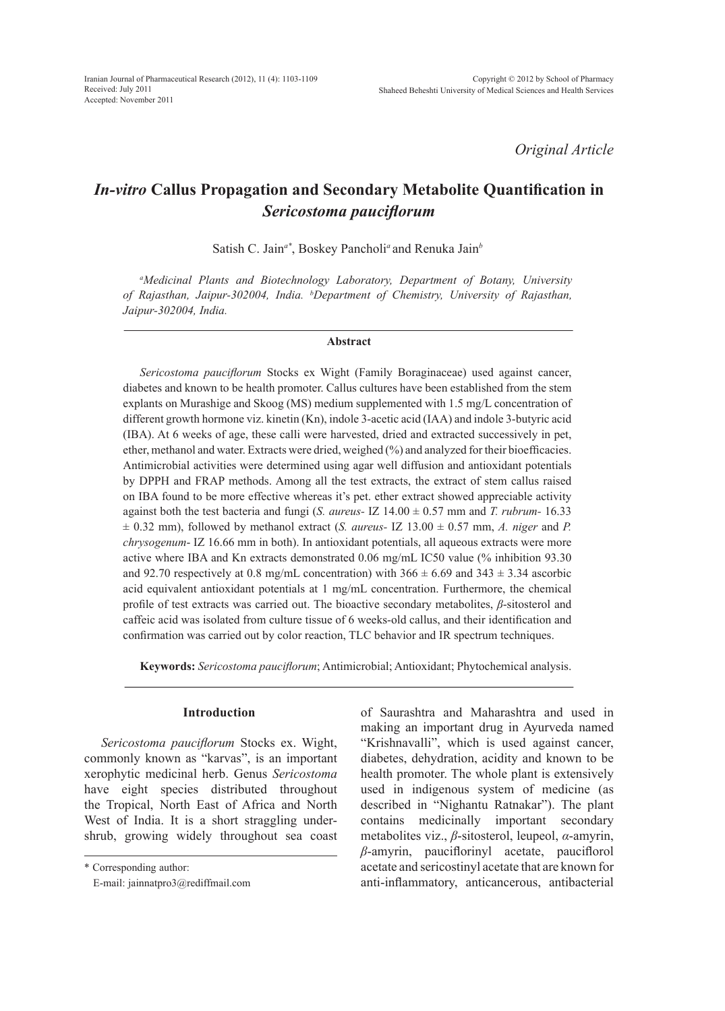*Original Article*

# *In-vitro* **Callus Propagation and Secondary Metabolite Quantification in**  *Sericostoma pauciflorum*

Satish C. Jain*a\**, Boskey Pancholi*<sup>a</sup>* and Renuka Jain*<sup>b</sup>*

*a Medicinal Plants and Biotechnology Laboratory, Department of Botany, University of Rajasthan, Jaipur-302004, India. b Department of Chemistry, University of Rajasthan, Jaipur-302004, India.*

#### **Abstract**

*Sericostoma pauciflorum* Stocks ex Wight (Family Boraginaceae) used against cancer, diabetes and known to be health promoter. Callus cultures have been established from the stem explants on Murashige and Skoog (MS) medium supplemented with 1.5 mg/L concentration of different growth hormone viz. kinetin (Kn), indole 3-acetic acid (IAA) and indole 3-butyric acid (IBA). At 6 weeks of age, these calli were harvested, dried and extracted successively in pet, ether, methanol and water. Extracts were dried, weighed (%) and analyzed for their bioefficacies. Antimicrobial activities were determined using agar well diffusion and antioxidant potentials by DPPH and FRAP methods. Among all the test extracts, the extract of stem callus raised on IBA found to be more effective whereas it's pet. ether extract showed appreciable activity against both the test bacteria and fungi (*S. aureus-* IZ 14.00 ± 0.57 mm and *T. rubrum-* 16.33  $\pm$  0.32 mm), followed by methanol extract (*S. aureus*- IZ 13.00  $\pm$  0.57 mm, *A. niger* and *P. chrysogenum*- IZ 16.66 mm in both). In antioxidant potentials, all aqueous extracts were more active where IBA and Kn extracts demonstrated 0.06 mg/mL IC50 value (% inhibition 93.30 and 92.70 respectively at 0.8 mg/mL concentration) with  $366 \pm 6.69$  and  $343 \pm 3.34$  ascorbic acid equivalent antioxidant potentials at 1 mg/mL concentration. Furthermore, the chemical profile of test extracts was carried out. The bioactive secondary metabolites, *β*-sitosterol and caffeic acid was isolated from culture tissue of 6 weeks-old callus, and their identification and confirmation was carried out by color reaction, TLC behavior and IR spectrum techniques.

**Keywords:** *Sericostoma pauciflorum*; Antimicrobial; Antioxidant; Phytochemical analysis.

# **Introduction**

*Sericostoma pauciflorum* Stocks ex. Wight, commonly known as "karvas", is an important xerophytic medicinal herb. Genus *Sericostoma* have eight species distributed throughout the Tropical, North East of Africa and North West of India. It is a short straggling undershrub, growing widely throughout sea coast

\* Corresponding author:

of Saurashtra and Maharashtra and used in making an important drug in Ayurveda named "Krishnavalli", which is used against cancer, diabetes, dehydration, acidity and known to be health promoter. The whole plant is extensively used in indigenous system of medicine (as described in "Nighantu Ratnakar"). The plant contains medicinally important secondary metabolites viz., *β*-sitosterol, leupeol, *α*-amyrin, *β*-amyrin, pauciflorinyl acetate, pauciflorol acetate and sericostinyl acetate that are known for anti-inflammatory, anticancerous, antibacterial

E-mail: jainnatpro3@rediffmail.com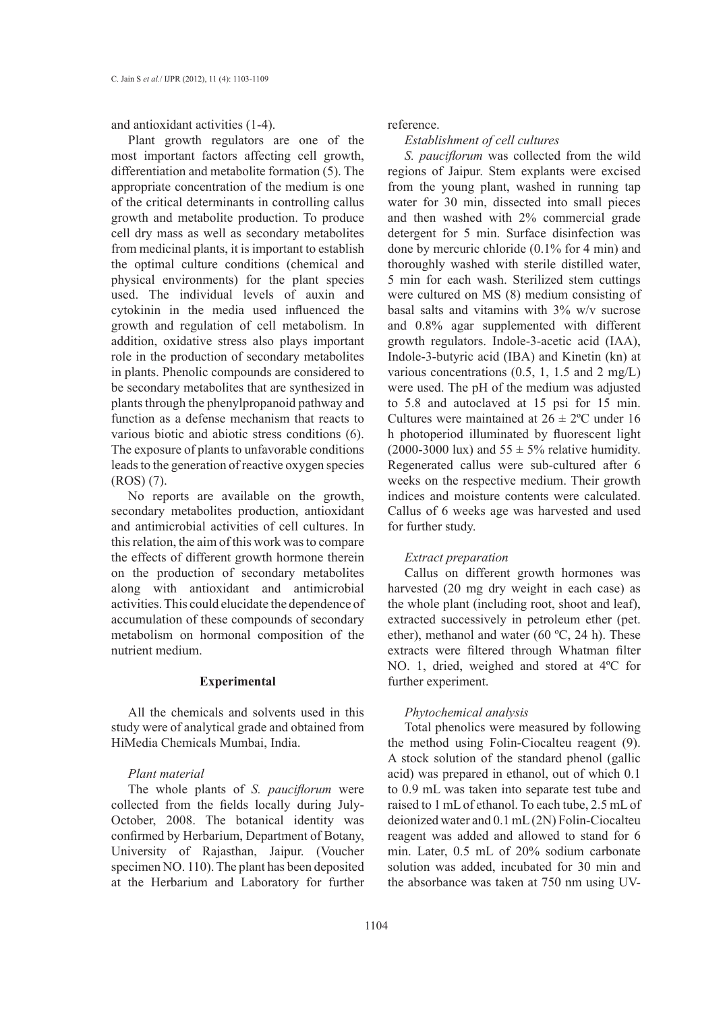and antioxidant activities (1-4).

Plant growth regulators are one of the most important factors affecting cell growth, differentiation and metabolite formation (5). The appropriate concentration of the medium is one of the critical determinants in controlling callus growth and metabolite production. To produce cell dry mass as well as secondary metabolites from medicinal plants, it is important to establish the optimal culture conditions (chemical and physical environments) for the plant species used. The individual levels of auxin and cytokinin in the media used influenced the growth and regulation of cell metabolism. In addition, oxidative stress also plays important role in the production of secondary metabolites in plants. Phenolic compounds are considered to be secondary metabolites that are synthesized in plants through the phenylpropanoid pathway and function as a defense mechanism that reacts to various biotic and abiotic stress conditions (6). The exposure of plants to unfavorable conditions leads to the generation of reactive oxygen species (ROS) (7).

No reports are available on the growth, secondary metabolites production, antioxidant and antimicrobial activities of cell cultures. In this relation, the aim of this work was to compare the effects of different growth hormone therein on the production of secondary metabolites along with antioxidant and antimicrobial activities. This could elucidate the dependence of accumulation of these compounds of secondary metabolism on hormonal composition of the nutrient medium.

## **Experimental**

All the chemicals and solvents used in this study were of analytical grade and obtained from HiMedia Chemicals Mumbai, India.

#### *Plant material*

The whole plants of *S. pauciflorum* were collected from the fields locally during July-October, 2008. The botanical identity was confirmed by Herbarium, Department of Botany, University of Rajasthan, Jaipur. (Voucher specimen NO. 110). The plant has been deposited at the Herbarium and Laboratory for further

## reference.

#### *Establishment of cell cultures*

*S. pauciflorum* was collected from the wild regions of Jaipur. Stem explants were excised from the young plant, washed in running tap water for 30 min, dissected into small pieces and then washed with 2% commercial grade detergent for 5 min. Surface disinfection was done by mercuric chloride (0.1% for 4 min) and thoroughly washed with sterile distilled water, 5 min for each wash. Sterilized stem cuttings were cultured on MS (8) medium consisting of basal salts and vitamins with 3% w/v sucrose and 0.8% agar supplemented with different growth regulators. Indole-3-acetic acid (IAA), Indole-3-butyric acid (IBA) and Kinetin (kn) at various concentrations  $(0.5, 1, 1.5, \text{ and } 2 \text{ mg/L})$ were used. The pH of the medium was adjusted to 5.8 and autoclaved at 15 psi for 15 min. Cultures were maintained at  $26 \pm 2^{\circ}$ C under 16 h photoperiod illuminated by fluorescent light (2000-3000 lux) and  $55 \pm 5\%$  relative humidity. Regenerated callus were sub-cultured after 6 weeks on the respective medium. Their growth indices and moisture contents were calculated. Callus of 6 weeks age was harvested and used for further study.

## *Extract preparation*

Callus on different growth hormones was harvested (20 mg dry weight in each case) as the whole plant (including root, shoot and leaf), extracted successively in petroleum ether (pet. ether), methanol and water (60 ºC, 24 h). These extracts were filtered through Whatman filter NO. 1, dried, weighed and stored at 4ºC for further experiment.

## *Phytochemical analysis*

Total phenolics were measured by following the method using Folin-Ciocalteu reagent (9). A stock solution of the standard phenol (gallic acid) was prepared in ethanol, out of which 0.1 to 0.9 mL was taken into separate test tube and raised to 1 mL of ethanol. To each tube, 2.5 mL of deionized water and 0.1 mL (2N) Folin-Ciocalteu reagent was added and allowed to stand for 6 min. Later, 0.5 mL of 20% sodium carbonate solution was added, incubated for 30 min and the absorbance was taken at 750 nm using UV-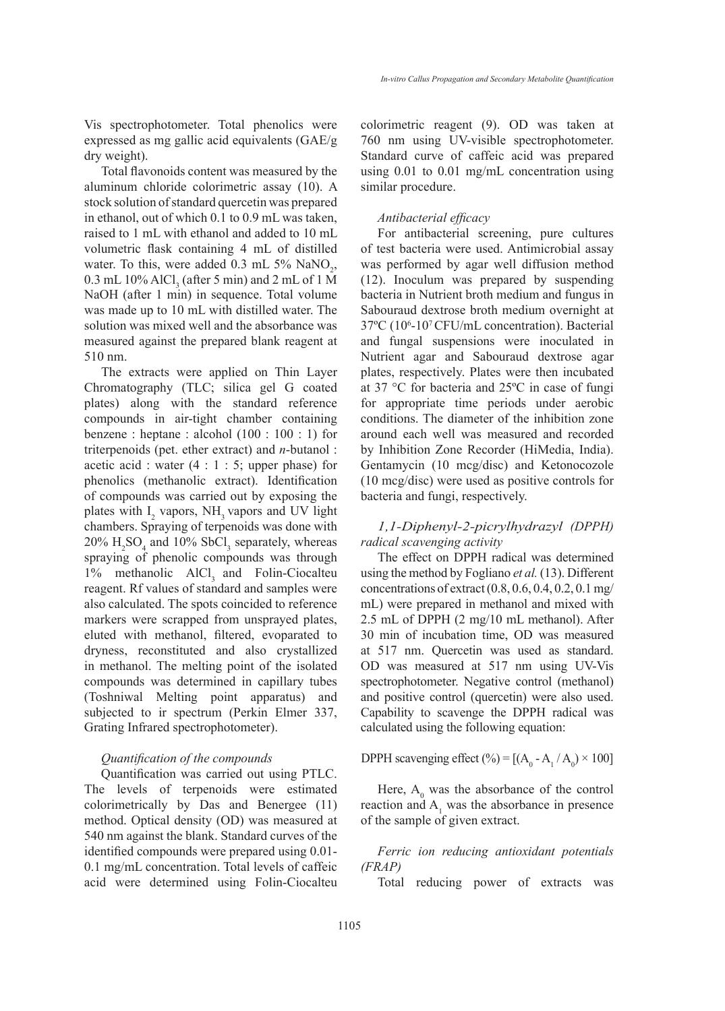Vis spectrophotometer. Total phenolics were expressed as mg gallic acid equivalents (GAE/g dry weight).

Total flavonoids content was measured by the aluminum chloride colorimetric assay (10). A stock solution of standard quercetin was prepared in ethanol, out of which 0.1 to 0.9 mL was taken, raised to 1 mL with ethanol and added to 10 mL volumetric flask containing 4 mL of distilled water. To this, were added  $0.3 \text{ mL} 5\% \text{ NaNO}_2$ , 0.3 mL 10% AlCl<sub>3</sub> (after 5 min) and 2 mL of 1 M NaOH (after 1 min) in sequence. Total volume was made up to 10 mL with distilled water. The solution was mixed well and the absorbance was measured against the prepared blank reagent at 510 nm.

The extracts were applied on Thin Layer Chromatography (TLC; silica gel G coated plates) along with the standard reference compounds in air-tight chamber containing benzene : heptane : alcohol (100 : 100 : 1) for triterpenoids (pet. ether extract) and *n*-butanol : acetic acid : water  $(4 : 1 : 5;$  upper phase) for phenolics (methanolic extract). Identification of compounds was carried out by exposing the plates with  $I_2$  vapors,  $NH_3$  vapors and UV light chambers. Spraying of terpenoids was done with  $20\%$  H<sub>2</sub>SO<sub>4</sub> and 10% SbCl<sub>3</sub> separately, whereas spraying of phenolic compounds was through  $1\%$  methanolic AlCl<sub>3</sub> and Folin-Ciocalteu reagent. Rf values of standard and samples were also calculated. The spots coincided to reference markers were scrapped from unsprayed plates, eluted with methanol, filtered, evoparated to dryness, reconstituted and also crystallized in methanol. The melting point of the isolated compounds was determined in capillary tubes (Toshniwal Melting point apparatus) and subjected to ir spectrum (Perkin Elmer 337, Grating Infrared spectrophotometer).

## *Quantification of the compounds*

Quantification was carried out using PTLC. The levels of terpenoids were estimated colorimetrically by Das and Benergee (11) method. Optical density (OD) was measured at 540 nm against the blank. Standard curves of the identified compounds were prepared using 0.01- 0.1 mg/mL concentration. Total levels of caffeic acid were determined using Folin-Ciocalteu colorimetric reagent (9). OD was taken at 760 nm using UV-visible spectrophotometer. Standard curve of caffeic acid was prepared using 0.01 to 0.01 mg/mL concentration using similar procedure.

## *Antibacterial efficacy*

For antibacterial screening, pure cultures of test bacteria were used. Antimicrobial assay was performed by agar well diffusion method (12). Inoculum was prepared by suspending bacteria in Nutrient broth medium and fungus in Sabouraud dextrose broth medium overnight at 37ºC (106 -107 CFU/mL concentration). Bacterial and fungal suspensions were inoculated in Nutrient agar and Sabouraud dextrose agar plates, respectively. Plates were then incubated at 37 °C for bacteria and 25ºC in case of fungi for appropriate time periods under aerobic conditions. The diameter of the inhibition zone around each well was measured and recorded by Inhibition Zone Recorder (HiMedia, India). Gentamycin (10 mcg/disc) and Ketonocozole (10 mcg/disc) were used as positive controls for bacteria and fungi, respectively.

# *1,1-Diphenyl-2-picrylhydrazyl (DPPH) radical scavenging activity*

The effect on DPPH radical was determined using the method by Fogliano *et al.* (13). Different concentrations of extract (0.8, 0.6, 0.4, 0.2, 0.1 mg/ mL) were prepared in methanol and mixed with 2.5 mL of DPPH (2 mg/10 mL methanol). After 30 min of incubation time, OD was measured at 517 nm. Quercetin was used as standard. OD was measured at 517 nm using UV-Vis spectrophotometer. Negative control (methanol) and positive control (quercetin) were also used. Capability to scavenge the DPPH radical was calculated using the following equation:

DPPH scavenging effect  $(\%) = [(A_0 - A_1 / A_0) \times 100]$ 

Here,  $A_0$  was the absorbance of the control reaction and  $A_1$  was the absorbance in presence of the sample of given extract.

*Ferric ion reducing antioxidant potentials (FRAP)*

Total reducing power of extracts was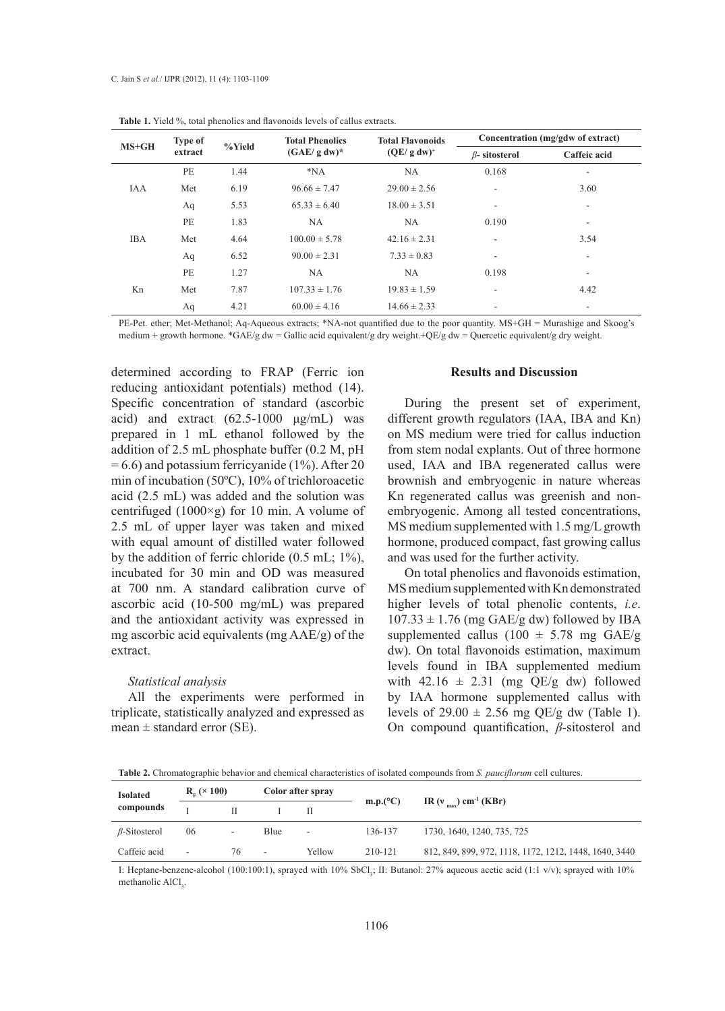| $MS+GH$    | <b>Type of</b> |        | <b>Total Phenolics</b> | <b>Total Flavonoids</b> | Concentration (mg/gdw of extract) |                          |  |  |
|------------|----------------|--------|------------------------|-------------------------|-----------------------------------|--------------------------|--|--|
|            | extract        | %Yield | $(GAE/g dw)^*$         | $(QE/g dw)^+$           | $\beta$ - sitosterol              | Caffeic acid             |  |  |
| <b>IAA</b> | PE             | 1.44   | $*NA$                  | NA                      | 0.168                             | ۰.                       |  |  |
|            | Met            | 6.19   | $96.66 \pm 7.47$       | $29.00 \pm 2.56$        | $\overline{\phantom{a}}$          | 3.60                     |  |  |
|            | Aq             | 5.53   | $65.33 \pm 6.40$       | $18.00 \pm 3.51$        | $\overline{\phantom{a}}$          | $\overline{\phantom{a}}$ |  |  |
| <b>IBA</b> | PE             | 1.83   | NA                     | NA.                     | 0.190                             | $\overline{\phantom{a}}$ |  |  |
|            | Met            | 4.64   | $100.00 \pm 5.78$      | $42.16 \pm 2.31$        | $\overline{\phantom{a}}$          | 3.54                     |  |  |
|            | Aq             | 6.52   | $90.00 \pm 2.31$       | $7.33 \pm 0.83$         | $\overline{\phantom{a}}$          | $\overline{\phantom{a}}$ |  |  |
| Kn         | PE             | 1.27   | NA                     | NA                      | 0.198                             | $\overline{\phantom{a}}$ |  |  |
|            | Met            | 7.87   | $107.33 \pm 1.76$      | $19.83 \pm 1.59$        | $\overline{\phantom{a}}$          | 4.42                     |  |  |
|            | Aq             | 4.21   | $60.00 \pm 4.16$       | $14.66 \pm 2.33$        | -                                 | ۰                        |  |  |

**Table 1.** Yield %, total phenolics and flavonoids levels of callus extracts.

PE-Pet. ether; Met-Methanol; Aq-Aqueous extracts; \*NA-not quantified due to the poor quantity. MS+GH = Murashige and Skoog's medium + growth hormone. \*GAE/g dw = Gallic acid equivalent/g dry weight.+QE/g dw = Quercetic equivalent/g dry weight.

determined according to FRAP (Ferric ion reducing antioxidant potentials) method (14). Specific concentration of standard (ascorbic acid) and extract (62.5-1000 μg/mL) was prepared in 1 mL ethanol followed by the addition of 2.5 mL phosphate buffer (0.2 M, pH  $= 6.6$ ) and potassium ferricyanide (1%). After 20 min of incubation (50ºC), 10% of trichloroacetic acid (2.5 mL) was added and the solution was centrifuged (1000 $\times$ g) for 10 min. A volume of 2.5 mL of upper layer was taken and mixed with equal amount of distilled water followed by the addition of ferric chloride  $(0.5 \text{ mL}; 1\%)$ , incubated for 30 min and OD was measured at 700 nm. A standard calibration curve of ascorbic acid (10-500 mg/mL) was prepared and the antioxidant activity was expressed in mg ascorbic acid equivalents (mg AAE/g) of the extract.

#### *Statistical analysis*

All the experiments were performed in triplicate, statistically analyzed and expressed as mean  $\pm$  standard error (SE).

#### **Results and Discussion**

During the present set of experiment, different growth regulators (IAA, IBA and Kn) on MS medium were tried for callus induction from stem nodal explants. Out of three hormone used, IAA and IBA regenerated callus were brownish and embryogenic in nature whereas Kn regenerated callus was greenish and nonembryogenic. Among all tested concentrations, MS medium supplemented with 1.5 mg/L growth hormone, produced compact, fast growing callus and was used for the further activity.

On total phenolics and flavonoids estimation, MS medium supplemented with Kn demonstrated higher levels of total phenolic contents, *i.e*.  $107.33 \pm 1.76$  (mg GAE/g dw) followed by IBA supplemented callus (100  $\pm$  5.78 mg GAE/g dw). On total flavonoids estimation, maximum levels found in IBA supplemented medium with  $42.16 \pm 2.31$  (mg QE/g dw) followed by IAA hormone supplemented callus with levels of  $29.00 \pm 2.56$  mg QE/g dw (Table 1). On compound quantification, *β*-sitosterol and

**Table 2.** Chromatographic behavior and chemical characteristics of isolated compounds from *S. pauciflorum* cell cultures.

| <b>Isolated</b>     | $R_e \times 100$         |                          | Color after spray        |        |          |                                                        |  |  |  |  |
|---------------------|--------------------------|--------------------------|--------------------------|--------|----------|--------------------------------------------------------|--|--|--|--|
| compounds           |                          |                          |                          |        | m.p.(°C) | IR ( $v_{\text{max}}$ ) cm <sup>-1</sup> (KBr)         |  |  |  |  |
| $\beta$ -Sitosterol | 06                       | $\overline{\phantom{a}}$ | Blue                     | ۰      | 136-137  | 1730, 1640, 1240, 735, 725                             |  |  |  |  |
| Caffeic acid        | $\overline{\phantom{a}}$ | 76                       | $\overline{\phantom{a}}$ | Yellow | 210-121  | 812, 849, 899, 972, 1118, 1172, 1212, 1448, 1640, 3440 |  |  |  |  |

I: Heptane-benzene-alcohol (100:100:1), sprayed with 10% SbCl<sub>3</sub>; II: Butanol: 27% aqueous acetic acid (1:1 v/v); sprayed with 10% methanolic AlCl<sub>3</sub>.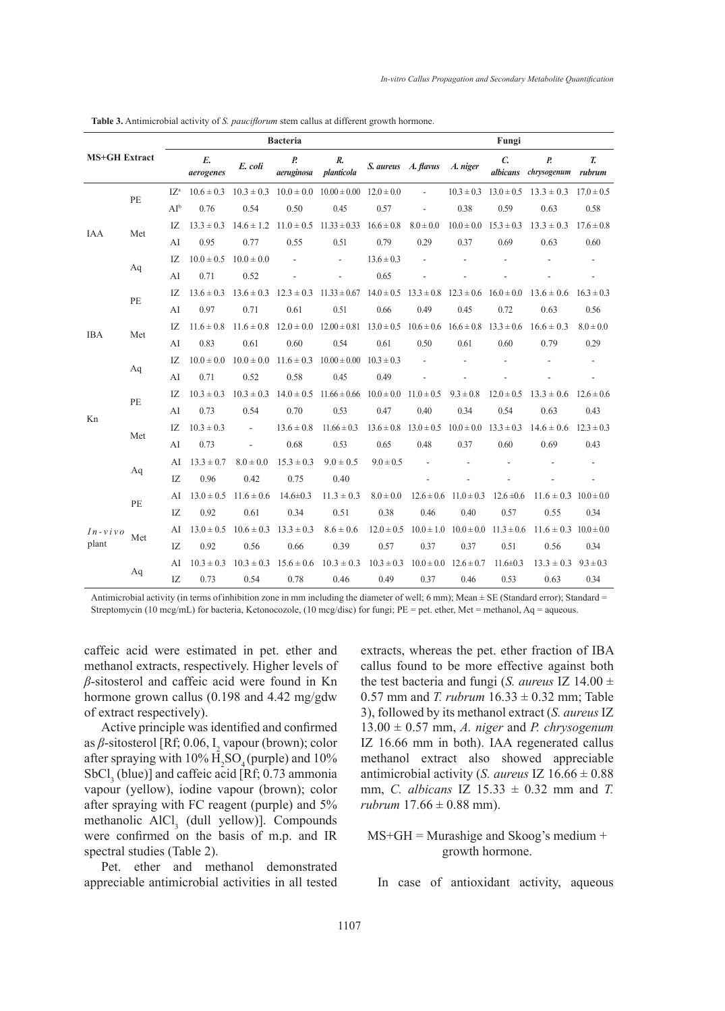| <b>MS+GH Extract</b> |     |                 |                 |                               | <b>Bacteria</b>                |                                                                                                                           | Fungi               |                                                             |                               |                           |                                                             |                |
|----------------------|-----|-----------------|-----------------|-------------------------------|--------------------------------|---------------------------------------------------------------------------------------------------------------------------|---------------------|-------------------------------------------------------------|-------------------------------|---------------------------|-------------------------------------------------------------|----------------|
|                      |     |                 | E.<br>aerogenes | E. coli                       | $\boldsymbol{P}$<br>aeruginosa | R.<br>planticola                                                                                                          | S. aureus A. flavus |                                                             | A. niger                      | $\mathcal{C}$<br>albicans | $\overline{P}$ .<br>chrysogenum                             | T.<br>rubrum   |
|                      | PE  | $I\mathbb{Z}^n$ | $10.6 \pm 0.3$  |                               |                                | $10.3 \pm 0.3$ $10.0 \pm 0.0$ $10.00 \pm 0.00$ $12.0 \pm 0.0$                                                             |                     | $\mathcal{L}_{\mathcal{A}}$                                 |                               |                           | $10.3 \pm 0.3$ $13.0 \pm 0.5$ $13.3 \pm 0.3$ $17.0 \pm 0.5$ |                |
|                      |     | $AI^b$          | 0.76            | 0.54                          | 0.50                           | 0.45                                                                                                                      | 0.57                | ÷,                                                          | 0.38                          | 0.59                      | 0.63                                                        | 0.58           |
|                      | Met | IZ.             | $13.3 \pm 0.3$  |                               |                                | $14.6 \pm 1.2$ $11.0 \pm 0.5$ $11.33 \pm 0.33$ $16.6 \pm 0.8$                                                             |                     | $8.0 \pm 0.0$                                               | $10.0 \pm 0.0$ $15.3 \pm 0.3$ |                           | $13.3 \pm 0.3$                                              | $17.6 \pm 0.8$ |
| IAA                  |     | AI              | 0.95            | 0.77                          | 0.55                           | 0.51                                                                                                                      | 0.79                | 0.29                                                        | 0.37                          | 0.69                      | 0.63                                                        | 0.60           |
|                      |     | IZ              | $10.0 \pm 0.5$  | $10.0 \pm 0.0$                |                                | $\overline{\phantom{m}}$                                                                                                  | $13.6 \pm 0.3$      |                                                             |                               |                           |                                                             |                |
|                      | Aq  | AI              | 0.71            | 0.52                          |                                |                                                                                                                           | 0.65                |                                                             |                               |                           |                                                             |                |
|                      | PE  | IZ.             | $13.6 \pm 0.3$  | $13.6 \pm 0.3$ $12.3 \pm 0.3$ |                                | $11.33 \pm 0.67$ $14.0 \pm 0.5$ $13.3 \pm 0.8$ $12.3 \pm 0.6$ $16.0 \pm 0.0$                                              |                     |                                                             |                               |                           | $13.6 \pm 0.6$                                              | $16.3 \pm 0.3$ |
|                      |     | AI              | 0.97            | 0.71                          | 0.61                           | 0.51                                                                                                                      | 0.66                | 0.49                                                        | 0.45                          | 0.72                      | 0.63                                                        | 0.56           |
| <b>IBA</b>           | Met | IZ.             | $11.6 \pm 0.8$  |                               |                                | $11.6 \pm 0.8$ $12.0 \pm 0.0$ $12.00 \pm 0.81$ $13.0 \pm 0.5$ $10.6 \pm 0.6$ $16.6 \pm 0.8$ $13.3 \pm 0.6$ $16.6 \pm 0.3$ |                     |                                                             |                               |                           |                                                             | $8.0 \pm 0.0$  |
|                      |     | AI              | 0.83            | 0.61                          | 0.60                           | 0.54                                                                                                                      | 0.61                | 0.50                                                        | 0.61                          | 0.60                      | 0.79                                                        | 0.29           |
|                      | Aq  | IZ.             | $10.0 \pm 0.0$  |                               |                                | $10.0 \pm 0.0$ $11.6 \pm 0.3$ $10.00 \pm 0.00$ $10.3 \pm 0.3$                                                             |                     |                                                             |                               |                           |                                                             |                |
|                      |     | AI              | 0.71            | 0.52                          | 0.58                           | 0.45                                                                                                                      | 0.49                |                                                             |                               |                           |                                                             |                |
|                      | PE  | IZ.             | $10.3 \pm 0.3$  |                               |                                | $10.3 \pm 0.3$ $14.0 \pm 0.5$ $11.66 \pm 0.66$ $10.0 \pm 0.0$                                                             |                     | $11.0 \pm 0.5$                                              | $9.3 \pm 0.8$                 | $12.0 \pm 0.5$            | $13.3 \pm 0.6$                                              | $12.6 \pm 0.6$ |
|                      |     | AI              | 0.73            | 0.54                          | 0.70                           | 0.53                                                                                                                      | 0.47                | 0.40                                                        | 0.34                          | 0.54                      | 0.63                                                        | 0.43           |
| Kn                   | Met | IZ              | $10.3 \pm 0.3$  | $\overline{\phantom{a}}$      | $13.6 \pm 0.8$                 | $11.66 \pm 0.3$                                                                                                           |                     | $13.6 \pm 0.8$ $13.0 \pm 0.5$ $10.0 \pm 0.0$ $13.3 \pm 0.3$ |                               |                           | $14.6 \pm 0.6$ $12.3 \pm 0.3$                               |                |
|                      |     | AI              | 0.73            | ÷,                            | 0.68                           | 0.53                                                                                                                      | 0.65                | 0.48                                                        | 0.37                          | 0.60                      | 0.69                                                        | 0.43           |
|                      | Aq  | AI              | $13.3 \pm 0.7$  | $8.0 \pm 0.0$                 | $15.3 \pm 0.3$                 | $9.0 \pm 0.5$                                                                                                             | $9.0 \pm 0.5$       |                                                             |                               |                           |                                                             |                |
|                      |     | IZ              | 0.96            | 0.42                          | 0.75                           | 0.40                                                                                                                      |                     |                                                             |                               |                           |                                                             |                |
| $In-vivo$<br>plant   | PE  | AI              | $13.0 \pm 0.5$  | $11.6 \pm 0.6$                | $14.6 \pm 0.3$                 | $11.3 \pm 0.3$                                                                                                            | $8.0 \pm 0.0$       | $12.6 \pm 0.6$                                              | $11.0 \pm 0.3$                | $12.6 \pm 0.6$            | $11.6 \pm 0.3$ $10.0 \pm 0.0$                               |                |
|                      |     | IZ              | 0.92            | 0.61                          | 0.34                           | 0.51                                                                                                                      | 0.38                | 0.46                                                        | 0.40                          | 0.57                      | 0.55                                                        | 0.34           |
|                      |     | AI              | $13.0 \pm 0.5$  | $10.6 \pm 0.3$                | $13.3 \pm 0.3$                 | $8.6 \pm 0.6$                                                                                                             | $12.0 \pm 0.5$      | $10.0 \pm 1.0$                                              | $10.0 \pm 0.0$                | $11.3 \pm 0.6$            | $11.6 \pm 0.3$ $10.0 \pm 0.0$                               |                |
|                      | Met | IZ              | 0.92            | 0.56                          | 0.66                           | 0.39                                                                                                                      | 0.57                | 0.37                                                        | 0.37                          | 0.51                      | 0.56                                                        | 0.34           |
|                      | Aq  | AI              | $10.3 \pm 0.3$  |                               |                                | $10.3 \pm 0.3$ $15.6 \pm 0.6$ $10.3 \pm 0.3$                                                                              | $10.3 \pm 0.3$      |                                                             | $10.0 \pm 0.0$ $12.6 \pm 0.7$ | $11.6 \pm 0.3$            | $13.3 \pm 0.3$                                              | $9.3 \pm 0.3$  |
|                      |     | IZ              | 0.73            | 0.54                          | 0.78                           | 0.46                                                                                                                      | 0.49                | 0.37                                                        | 0.46                          | 0.53                      | 0.63                                                        | 0.34           |

**Table 3.** Antimicrobial activity of *S. pauciflorum* stem callus at different growth hormone.

Antimicrobial activity (in terms of inhibition zone in mm including the diameter of well; 6 mm); Mean  $\pm$  SE (Standard error); Standard = Streptomycin (10 mcg/mL) for bacteria, Ketonocozole, (10 mcg/disc) for fungi; PE = pet. ether, Met = methanol, Aq = aqueous.

caffeic acid were estimated in pet. ether and methanol extracts, respectively. Higher levels of *β*-sitosterol and caffeic acid were found in Kn hormone grown callus (0.198 and 4.42 mg/gdw of extract respectively).

Active principle was identified and confirmed as *β*-sitosterol [Rf; 0.06, I<sub>2</sub> vapour (brown); color after spraying with  $10\%$   $H_2SO_4$  (purple) and  $10\%$  $SbCl<sub>3</sub>$  (blue)] and caffeic acid [Rf; 0.73 ammonia vapour (yellow), iodine vapour (brown); color after spraying with FC reagent (purple) and 5% methanolic  $AICI_3$  (dull yellow)]. Compounds were confirmed on the basis of m.p. and IR spectral studies (Table 2).

Pet. ether and methanol demonstrated appreciable antimicrobial activities in all tested extracts, whereas the pet. ether fraction of IBA callus found to be more effective against both the test bacteria and fungi (*S. aureus* IZ  $14.00 \pm$ 0.57 mm and *T. rubrum*  $16.33 \pm 0.32$  mm; Table 3), followed by its methanol extract (*S. aureus* IZ 13.00 ± 0.57 mm, *A. niger* and *P. chrysogenum* IZ 16.66 mm in both). IAA regenerated callus methanol extract also showed appreciable antimicrobial activity (*S. aureus* IZ 16.66 ± 0.88 mm, *C. albicans* IZ 15.33 ± 0.32 mm and *T. rubrum*  $17.66 \pm 0.88$  mm).

# $MS+GH = Murashige$  and Skoog's medium + growth hormone.

In case of antioxidant activity, aqueous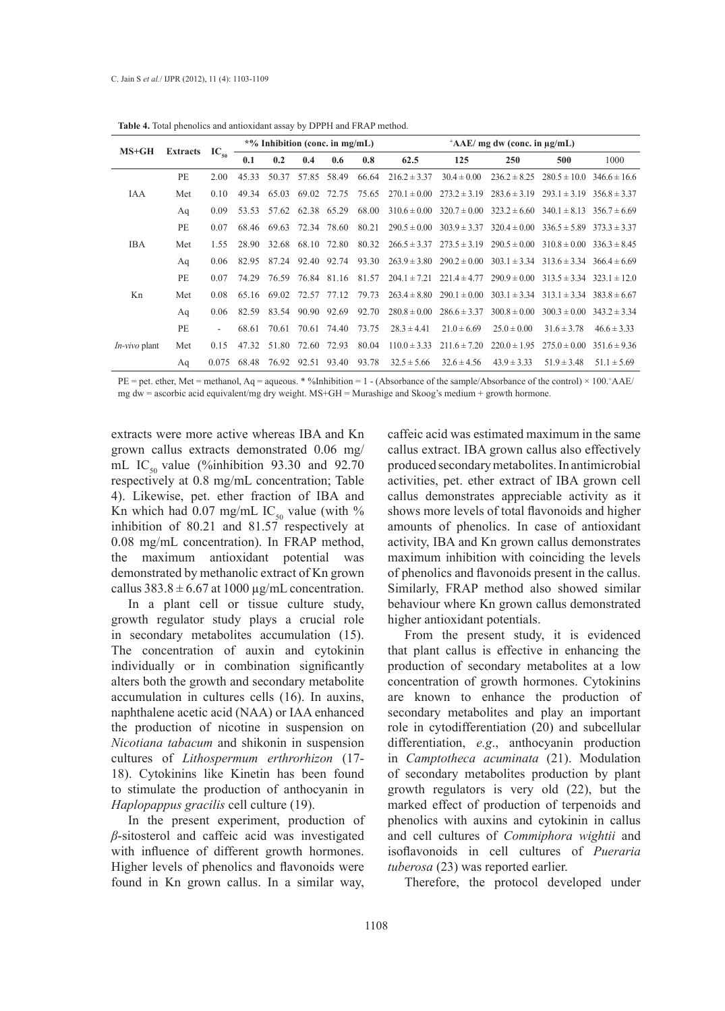| $MS+GH$         | Extracts $IC_{50}$ |                          | $*$ % Inhibition (conc. in mg/mL) |                               |                   |                         |       | $^+AAE/mg$ dw (conc. in $\mu g/mL$ )                                                                         |                  |                  |                                                                                      |                                   |  |
|-----------------|--------------------|--------------------------|-----------------------------------|-------------------------------|-------------------|-------------------------|-------|--------------------------------------------------------------------------------------------------------------|------------------|------------------|--------------------------------------------------------------------------------------|-----------------------------------|--|
|                 |                    |                          | 0.1                               | 0.2                           | 0.4               | 0.6                     | 0.8   | 62.5                                                                                                         | 125              | 250              | 500                                                                                  | 1000                              |  |
| IAA             | PE                 | 2.00                     | 45.33                             |                               | 50.37 57.85 58.49 |                         | 66.64 | $216.2 \pm 3.37$                                                                                             | $30.4 \pm 0.00$  | $236.2 \pm 8.25$ |                                                                                      | $280.5 \pm 10.0$ $346.6 \pm 16.6$ |  |
|                 | Met                | 0.10                     | 49.34                             |                               |                   |                         |       | 65.03 69.02 72.75 75.65 270.1 $\pm$ 0.00 273.2 $\pm$ 3.19 283.6 $\pm$ 3.19 293.1 $\pm$ 3.19 356.8 $\pm$ 3.37 |                  |                  |                                                                                      |                                   |  |
|                 | Aq                 | 0.09                     | 53.53                             |                               | 57.62 62.38 65.29 |                         | 68.00 |                                                                                                              |                  |                  | $310.6 \pm 0.00$ $320.7 \pm 0.00$ $323.2 \pm 6.60$ $340.1 \pm 8.13$ $356.7 \pm 6.69$ |                                   |  |
| <b>IBA</b>      | PE                 | 0.07                     |                                   | 68.46 69.63 72.34 78.60       |                   |                         | 80.21 |                                                                                                              |                  |                  | $290.5 \pm 0.00$ $303.9 \pm 3.37$ $320.4 \pm 0.00$ $336.5 \pm 5.89$ $373.3 \pm 3.37$ |                                   |  |
|                 | Met                | 1.55                     |                                   | 28.90 32.68 68.10 72.80       |                   |                         | 80.32 |                                                                                                              |                  |                  | $266.5 \pm 3.37$ $273.5 \pm 3.19$ $290.5 \pm 0.00$ $310.8 \pm 0.00$ $336.3 \pm 8.45$ |                                   |  |
|                 | Aq                 | 0.06                     |                                   | 82.95 87.24 92.40 92.74 93.30 |                   |                         |       |                                                                                                              |                  |                  | $263.9 \pm 3.80$ $290.2 \pm 0.00$ $303.1 \pm 3.34$ $313.6 \pm 3.34$ $366.4 \pm 6.69$ |                                   |  |
| Kn              | PE                 | 0.07                     | 74.29                             |                               |                   | 76.59 76.84 81.16 81.57 |       |                                                                                                              |                  |                  | $204.1 \pm 7.21$ $221.4 \pm 4.77$ $290.9 \pm 0.00$ $313.5 \pm 3.34$ $323.1 \pm 12.0$ |                                   |  |
|                 | Met                | 0.08                     |                                   | 65.16 69.02 72.57 77.12       |                   |                         | 79.73 | $263.4 \pm 8.80$                                                                                             |                  |                  | $290.1 \pm 0.00$ $303.1 \pm 3.34$ $313.1 \pm 3.34$ $383.8 \pm 6.67$                  |                                   |  |
|                 | Aq                 | 0.06                     |                                   | 82.59 83.54 90.90 92.69       |                   |                         | 92.70 | $280.8 \pm 0.00$                                                                                             | $286.6 \pm 3.37$ |                  | $300.8 \pm 0.00$ $300.3 \pm 0.00$ $343.2 \pm 3.34$                                   |                                   |  |
| $In-vivo$ plant | PE.                | $\overline{\phantom{a}}$ | 68.61                             | 70.61                         |                   | 70.61 74.40             | 73.75 | $28.3 \pm 4.41$                                                                                              | $21.0 \pm 6.69$  | $25.0 \pm 0.00$  | $31.6 \pm 3.78$                                                                      | $46.6 \pm 3.33$                   |  |
|                 | Met                | 0.15                     | 47.32                             |                               | 51.80 72.60 72.93 |                         | 80.04 | $110.0 \pm 3.33$                                                                                             | $211.6 \pm 7.20$ | $220.0 \pm 1.95$ | $275.0 \pm 0.00$ $351.6 \pm 9.36$                                                    |                                   |  |
|                 | Aq                 | 0.075                    | 68.48                             | 76.92 92.51 93.40 93.78       |                   |                         |       | $32.5 \pm 5.66$                                                                                              | $32.6 \pm 4.56$  | $43.9 \pm 3.33$  | $51.9 \pm 3.48$                                                                      | $51.1 \pm 5.69$                   |  |
|                 |                    |                          |                                   |                               |                   |                         |       |                                                                                                              |                  |                  |                                                                                      |                                   |  |

**Table 4.** Total phenolics and antioxidant assay by DPPH and FRAP method.

 $PE = pet.$  ether, Met = methanol, Aq = aqueous. \* %Inhibition = 1 - (Absorbance of the sample/Absorbance of the control) × 100.\*AAE/ mg dw = ascorbic acid equivalent/mg dry weight. MS+GH = Murashige and Skoog's medium + growth hormone.

extracts were more active whereas IBA and Kn grown callus extracts demonstrated 0.06 mg/ mL IC<sub>50</sub> value (%inhibition 93.30 and 92.70) respectively at 0.8 mg/mL concentration; Table 4). Likewise, pet. ether fraction of IBA and Kn which had 0.07 mg/mL IC<sub>50</sub> value (with % inhibition of 80.21 and 81.57 respectively at 0.08 mg/mL concentration). In FRAP method, the maximum antioxidant potential was demonstrated by methanolic extract of Kn grown callus  $383.8 \pm 6.67$  at 1000 µg/mL concentration.

In a plant cell or tissue culture study, growth regulator study plays a crucial role in secondary metabolites accumulation (15). The concentration of auxin and cytokinin individually or in combination significantly alters both the growth and secondary metabolite accumulation in cultures cells (16). In auxins, naphthalene acetic acid (NAA) or IAA enhanced the production of nicotine in suspension on *Nicotiana tabacum* and shikonin in suspension cultures of *Lithospermum erthrorhizon* (17- 18). Cytokinins like Kinetin has been found to stimulate the production of anthocyanin in *Haplopappus gracilis* cell culture (19).

In the present experiment, production of *β*-sitosterol and caffeic acid was investigated with influence of different growth hormones. Higher levels of phenolics and flavonoids were found in Kn grown callus. In a similar way,

caffeic acid was estimated maximum in the same callus extract. IBA grown callus also effectively produced secondary metabolites. In antimicrobial activities, pet. ether extract of IBA grown cell callus demonstrates appreciable activity as it shows more levels of total flavonoids and higher amounts of phenolics. In case of antioxidant activity, IBA and Kn grown callus demonstrates maximum inhibition with coinciding the levels of phenolics and flavonoids present in the callus. Similarly, FRAP method also showed similar behaviour where Kn grown callus demonstrated higher antioxidant potentials.

From the present study, it is evidenced that plant callus is effective in enhancing the production of secondary metabolites at a low concentration of growth hormones. Cytokinins are known to enhance the production of secondary metabolites and play an important role in cytodifferentiation (20) and subcellular differentiation, *e.g*., anthocyanin production in *Camptotheca acuminata* (21). Modulation of secondary metabolites production by plant growth regulators is very old (22), but the marked effect of production of terpenoids and phenolics with auxins and cytokinin in callus and cell cultures of *Commiphora wightii* and isoflavonoids in cell cultures of *Pueraria tuberosa* (23) was reported earlier.

Therefore, the protocol developed under